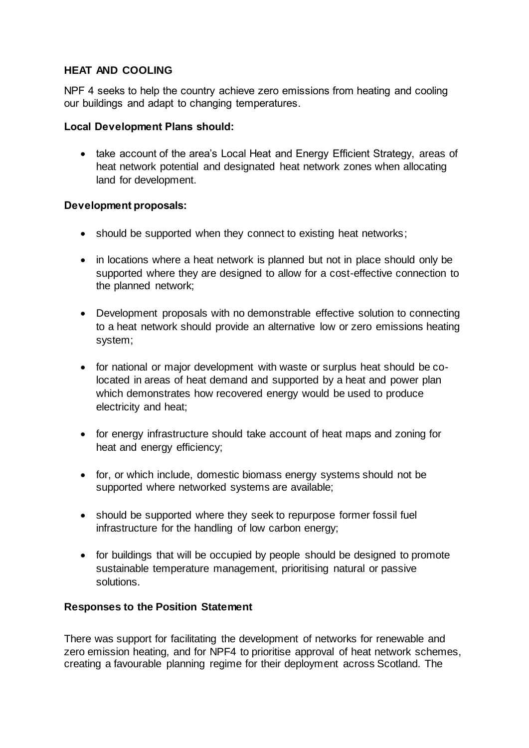# **HEAT AND COOLING**

NPF 4 seeks to help the country achieve zero emissions from heating and cooling our buildings and adapt to changing temperatures.

### **Local Development Plans should:**

• take account of the area's Local Heat and Energy Efficient Strategy, areas of heat network potential and designated heat network zones when allocating land for development.

### **Development proposals:**

- should be supported when they connect to existing heat networks;
- in locations where a heat network is planned but not in place should only be supported where they are designed to allow for a cost-effective connection to the planned network;
- Development proposals with no demonstrable effective solution to connecting to a heat network should provide an alternative low or zero emissions heating system;
- for national or major development with waste or surplus heat should be colocated in areas of heat demand and supported by a heat and power plan which demonstrates how recovered energy would be used to produce electricity and heat;
- for energy infrastructure should take account of heat maps and zoning for heat and energy efficiency;
- for, or which include, domestic biomass energy systems should not be supported where networked systems are available;
- should be supported where they seek to repurpose former fossil fuel infrastructure for the handling of low carbon energy;
- for buildings that will be occupied by people should be designed to promote sustainable temperature management, prioritising natural or passive solutions.

# **Responses to the Position Statement**

There was support for facilitating the development of networks for renewable and zero emission heating, and for NPF4 to prioritise approval of heat network schemes, creating a favourable planning regime for their deployment across Scotland. The